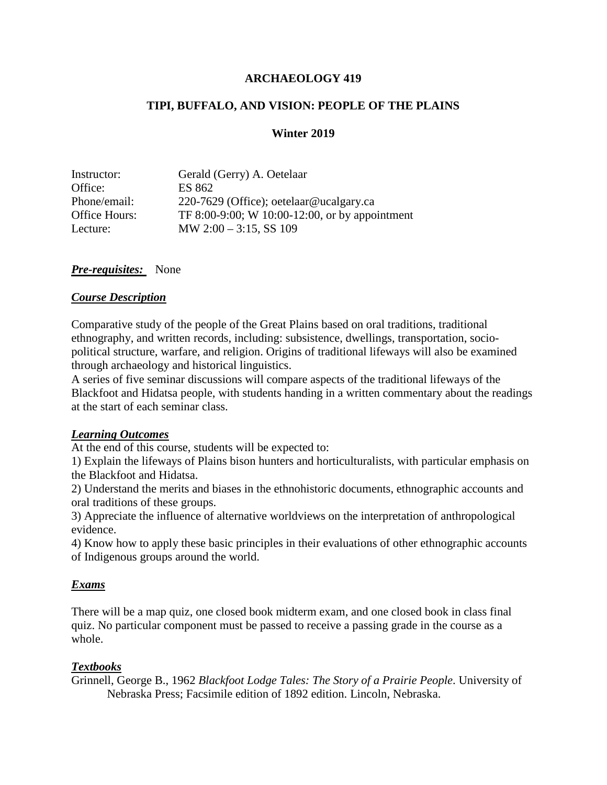#### **ARCHAEOLOGY 419**

#### **TIPI, BUFFALO, AND VISION: PEOPLE OF THE PLAINS**

#### **Winter 2019**

| Instructor:   | Gerald (Gerry) A. Oetelaar                     |
|---------------|------------------------------------------------|
| Office:       | ES 862                                         |
| Phone/email:  | 220-7629 (Office); oetelaar@ucalgary.ca        |
| Office Hours: | TF 8:00-9:00; W 10:00-12:00, or by appointment |
| Lecture:      | MW $2:00 - 3:15$ , SS 109                      |

#### *Pre-requisites:* None

#### *Course Description*

Comparative study of the people of the Great Plains based on oral traditions, traditional ethnography, and written records, including: subsistence, dwellings, transportation, sociopolitical structure, warfare, and religion. Origins of traditional lifeways will also be examined through archaeology and historical linguistics.

A series of five seminar discussions will compare aspects of the traditional lifeways of the Blackfoot and Hidatsa people, with students handing in a written commentary about the readings at the start of each seminar class.

#### *Learning Outcomes*

At the end of this course, students will be expected to:

1) Explain the lifeways of Plains bison hunters and horticulturalists, with particular emphasis on the Blackfoot and Hidatsa.

2) Understand the merits and biases in the ethnohistoric documents, ethnographic accounts and oral traditions of these groups.

3) Appreciate the influence of alternative worldviews on the interpretation of anthropological evidence.

4) Know how to apply these basic principles in their evaluations of other ethnographic accounts of Indigenous groups around the world.

#### *Exams*

There will be a map quiz, one closed book midterm exam, and one closed book in class final quiz. No particular component must be passed to receive a passing grade in the course as a whole.

## *Textbooks*

Grinnell, George B., 1962 *Blackfoot Lodge Tales: The Story of a Prairie People*. University of Nebraska Press; Facsimile edition of 1892 edition. Lincoln, Nebraska.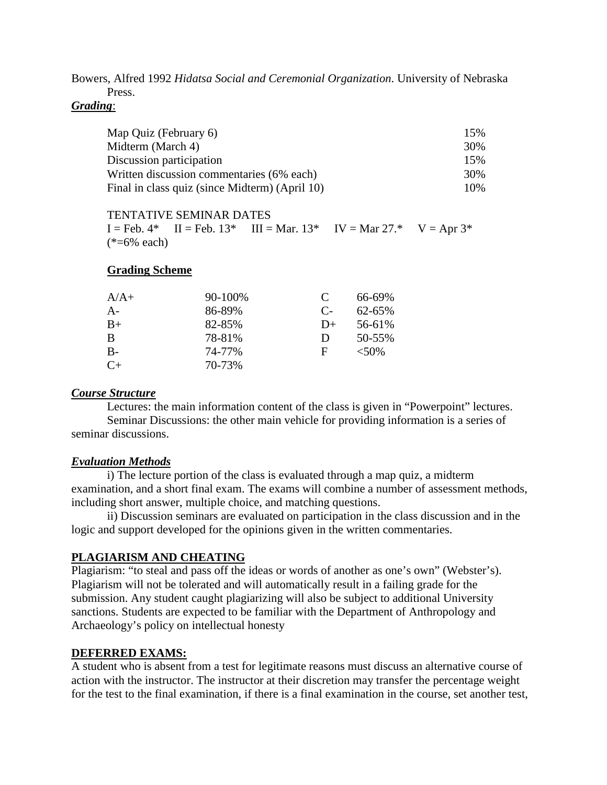Bowers, Alfred 1992 *Hidatsa Social and Ceremonial Organization*. University of Nebraska Press.

*Grading*:

| Map Quiz (February 6)                          | 15% |
|------------------------------------------------|-----|
| Midterm (March 4)                              | 30% |
| Discussion participation                       | 15% |
| Written discussion commentaries (6% each)      | 30% |
| Final in class quiz (since Midterm) (April 10) | 10% |

TENTATIVE SEMINAR DATES  $I = Feb. 4* I = Feb. 13* III = Mar. 13* IV = Mar. 27.* V = Apr. 3*$  $(*=6\%$  each)

#### **Grading Scheme**

| $A/A+$    | 90-100% | C          | 66-69%   |
|-----------|---------|------------|----------|
| A-        | 86-89%  | $C_{\tau}$ | 62-65%   |
| $B+$      | 82-85%  | $D+$       | 56-61%   |
| B         | 78-81%  | D          | 50-55%   |
| B-        | 74-77%  | F          | $< 50\%$ |
| $C_{\pm}$ | 70-73%  |            |          |

#### *Course Structure*

Lectures: the main information content of the class is given in "Powerpoint" lectures. Seminar Discussions: the other main vehicle for providing information is a series of seminar discussions.

#### *Evaluation Methods*

i) The lecture portion of the class is evaluated through a map quiz, a midterm examination, and a short final exam. The exams will combine a number of assessment methods, including short answer, multiple choice, and matching questions.

ii) Discussion seminars are evaluated on participation in the class discussion and in the logic and support developed for the opinions given in the written commentaries.

## **PLAGIARISM AND CHEATING**

Plagiarism: "to steal and pass off the ideas or words of another as one's own" (Webster's). Plagiarism will not be tolerated and will automatically result in a failing grade for the submission. Any student caught plagiarizing will also be subject to additional University sanctions. Students are expected to be familiar with the Department of Anthropology and Archaeology's policy on intellectual honesty

#### **DEFERRED EXAMS:**

A student who is absent from a test for legitimate reasons must discuss an alternative course of action with the instructor. The instructor at their discretion may transfer the percentage weight for the test to the final examination, if there is a final examination in the course, set another test,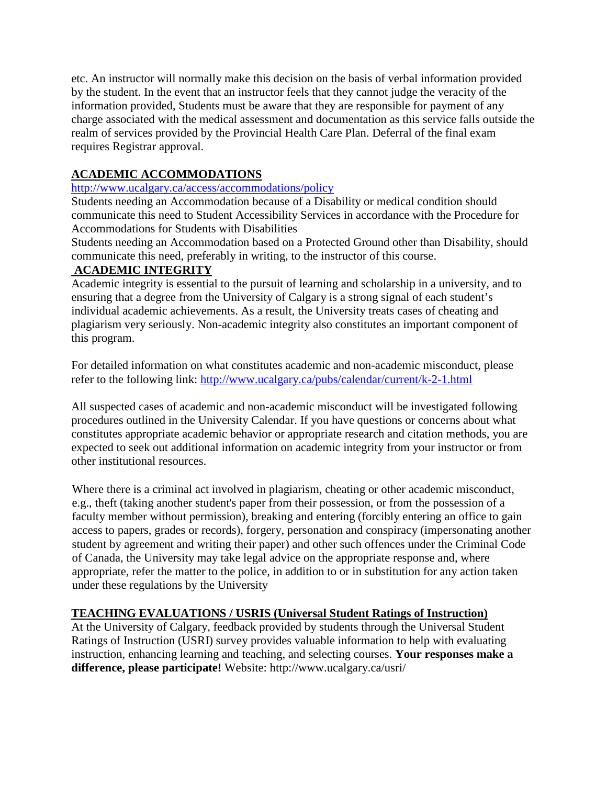etc. An instructor will normally make this decision on the basis of verbal information provided by the student. In the event that an instructor feels that they cannot judge the veracity of the information provided, Students must be aware that they are responsible for payment of any charge associated with the medical assessment and documentation as this service falls outside the realm of services provided by the Provincial Health Care Plan. Deferral of the final exam requires Registrar approval.

# **ACADEMIC ACCOMMODATIONS**

<http://www.ucalgary.ca/access/accommodations/policy>

Students needing an Accommodation because of a Disability or medical condition should communicate this need to Student Accessibility Services in accordance with the Procedure for Accommodations for Students with Disabilities

Students needing an Accommodation based on a Protected Ground other than Disability, should communicate this need, preferably in writing, to the instructor of this course.

## **ACADEMIC INTEGRITY**

Academic integrity is essential to the pursuit of learning and scholarship in a university, and to ensuring that a degree from the University of Calgary is a strong signal of each student's individual academic achievements. As a result, the University treats cases of cheating and plagiarism very seriously. Non-academic integrity also constitutes an important component of this program.

For detailed information on what constitutes academic and non-academic misconduct, please refer to the following link:<http://www.ucalgary.ca/pubs/calendar/current/k-2-1.html>

All suspected cases of academic and non-academic misconduct will be investigated following procedures outlined in the University Calendar. If you have questions or concerns about what constitutes appropriate academic behavior or appropriate research and citation methods, you are expected to seek out additional information on academic integrity from your instructor or from other institutional resources.

Where there is a criminal act involved in plagiarism, cheating or other academic misconduct, e.g., theft (taking another student's paper from their possession, or from the possession of a faculty member without permission), breaking and entering (forcibly entering an office to gain access to papers, grades or records), forgery, personation and conspiracy (impersonating another student by agreement and writing their paper) and other such offences under the Criminal Code of Canada, the University may take legal advice on the appropriate response and, where appropriate, refer the matter to the police, in addition to or in substitution for any action taken under these regulations by the University

## **TEACHING EVALUATIONS / USRIS (Universal Student Ratings of Instruction)**

At the University of Calgary, feedback provided by students through the Universal Student Ratings of Instruction (USRI) survey provides valuable information to help with evaluating instruction, enhancing learning and teaching, and selecting courses. **Your responses make a difference, please participate!** Website: http://www.ucalgary.ca/usri/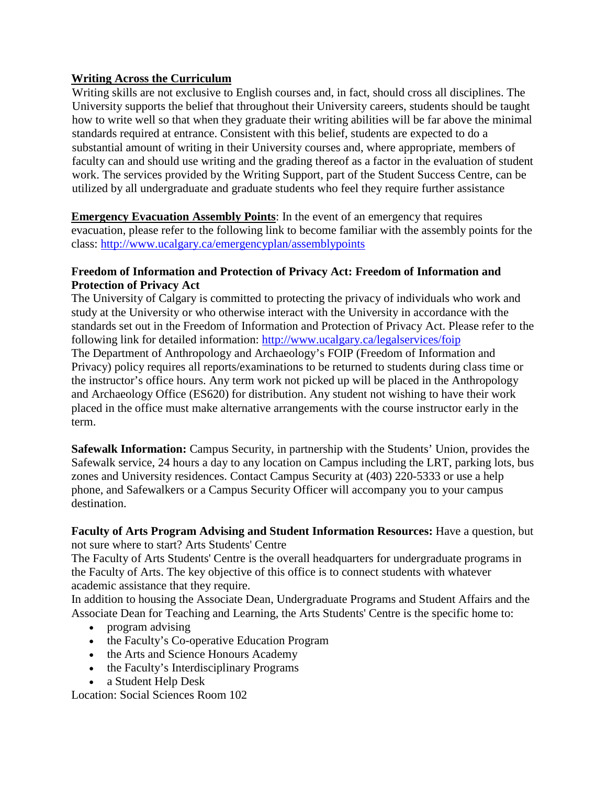## **Writing Across the Curriculum**

Writing skills are not exclusive to English courses and, in fact, should cross all disciplines. The University supports the belief that throughout their University careers, students should be taught how to write well so that when they graduate their writing abilities will be far above the minimal standards required at entrance. Consistent with this belief, students are expected to do a substantial amount of writing in their University courses and, where appropriate, members of faculty can and should use writing and the grading thereof as a factor in the evaluation of student work. The services provided by the Writing Support, part of the Student Success Centre, can be utilized by all undergraduate and graduate students who feel they require further assistance

**Emergency Evacuation Assembly Points**: In the event of an emergency that requires evacuation, please refer to the following link to become familiar with the assembly points for the class:<http://www.ucalgary.ca/emergencyplan/assemblypoints>

## **Freedom of Information and Protection of Privacy Act: Freedom of Information and Protection of Privacy Act**

The University of Calgary is committed to protecting the privacy of individuals who work and study at the University or who otherwise interact with the University in accordance with the standards set out in the Freedom of Information and Protection of Privacy Act. Please refer to the following link for detailed information:<http://www.ucalgary.ca/legalservices/foip> The Department of Anthropology and Archaeology's FOIP (Freedom of Information and Privacy) policy requires all reports/examinations to be returned to students during class time or the instructor's office hours. Any term work not picked up will be placed in the Anthropology and Archaeology Office (ES620) for distribution. Any student not wishing to have their work placed in the office must make alternative arrangements with the course instructor early in the term.

**Safewalk Information:** Campus Security, in partnership with the Students' Union, provides the Safewalk service, 24 hours a day to any location on Campus including the LRT, parking lots, bus zones and University residences. Contact Campus Security at (403) 220-5333 or use a help phone, and Safewalkers or a Campus Security Officer will accompany you to your campus destination.

**Faculty of Arts Program Advising and Student Information Resources:** Have a question, but not sure where to start? Arts Students' Centre

The Faculty of Arts Students' Centre is the overall headquarters for undergraduate programs in the Faculty of Arts. The key objective of this office is to connect students with whatever academic assistance that they require.

In addition to housing the Associate Dean, Undergraduate Programs and Student Affairs and the Associate Dean for Teaching and Learning, the Arts Students' Centre is the specific home to:

- program advising
- the Faculty's Co-operative Education Program
- the Arts and Science Honours Academy
- the Faculty's Interdisciplinary Programs
- a Student Help Desk

Location: Social Sciences Room 102